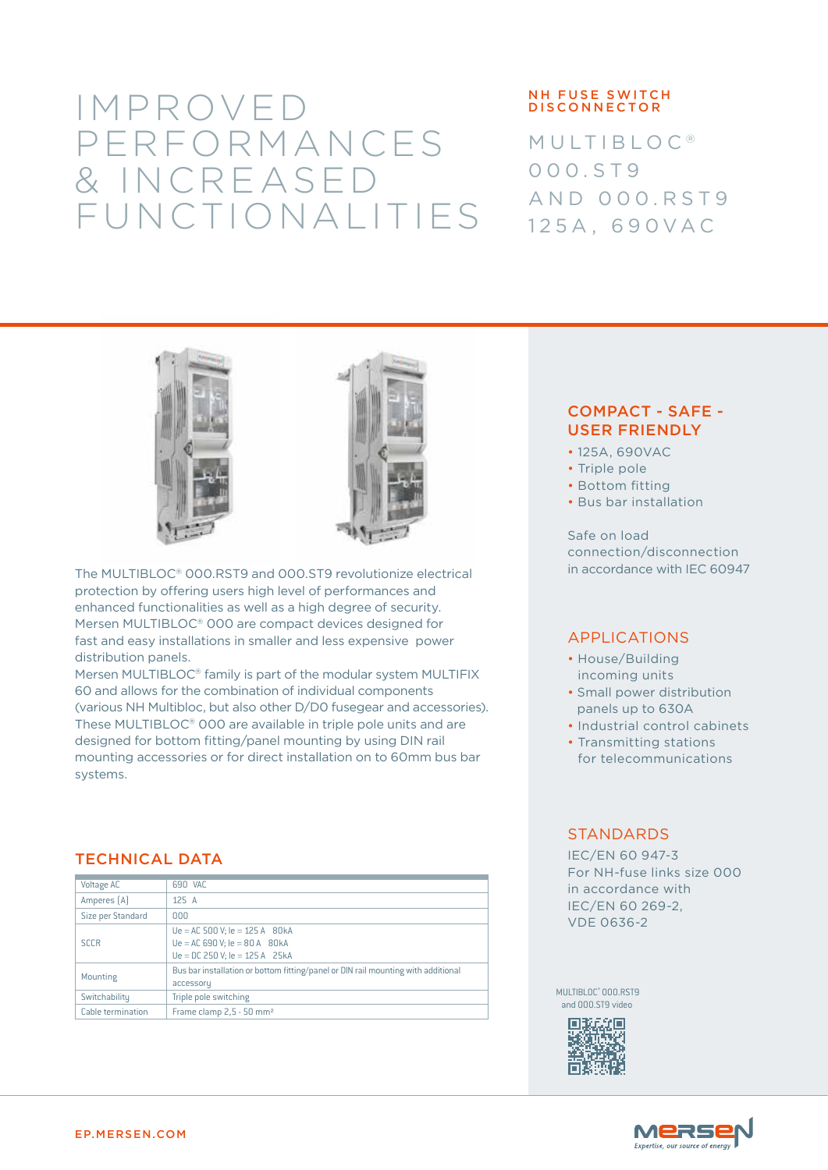# IMPROVED PERFORMANCES & INCREASED FUNCTIONALITIES

#### NH FUSE SWITCH **DISCONNECTOR**

**MULTIBLOC®** 0 0 0 . S T 9 AND 000.RST9 125A, 690VAC





The MULTIBLOC® 000.RST9 and 000.ST9 revolutionize electrical protection by offering users high level of performances and enhanced functionalities as well as a high degree of security. Mersen MULTIBLOC® 000 are compact devices designed for fast and easy installations in smaller and less expensive power distribution panels.

Mersen MULTIBLOC® family is part of the modular system MULTIFIX 60 and allows for the combination of individual components (various NH Multibloc, but also other D/D0 fusegear and accessories). These MULTIBLOC® 000 are available in triple pole units and are designed for bottom fitting/panel mounting by using DIN rail mounting accessories or for direct installation on to 60mm bus bar systems.

## TECHNICAL DATA

| <b>Voltage AC</b> | 690 VAC                                                                           |  |  |
|-------------------|-----------------------------------------------------------------------------------|--|--|
|                   |                                                                                   |  |  |
| Amperes [A]       | 125A                                                                              |  |  |
| Size per Standard | 000                                                                               |  |  |
|                   |                                                                                   |  |  |
| <b>SCCR</b>       | $Ue = AC 500 V; Ie = 125 A 80kA$                                                  |  |  |
|                   | $Ue = AC 690 V: Ie = 80 A 80 kA$                                                  |  |  |
|                   | $Ue = DC$ 250 V; $le = 125 A$ 25kA                                                |  |  |
|                   |                                                                                   |  |  |
| Mounting          | Bus bar installation or bottom fitting/panel or DIN rail mounting with additional |  |  |
|                   | accessory                                                                         |  |  |
| Switchability     | Triple pole switching                                                             |  |  |
|                   |                                                                                   |  |  |
| Cable termination | Frame clamp 2,5 - 50 mm <sup>2</sup>                                              |  |  |

## COMPACT - SAFE - USER FRIENDLY

- 125A, 690VAC
- Triple pole
- Bottom fitting
- Bus bar installation

Safe on load connection/disconnection in accordance with IEC 60947

## APPLICATIONS

- House/Building incoming units
- Small power distribution panels up to 630A
- Industrial control cabinets
- Transmitting stations for telecommunications

### **STANDARDS**

IEC/EN 60 947-3 For NH-fuse links size 000 in accordance with IEC/EN 60 269-2, VDE 0636-2

MULTIBLOC® 000.RST9 and 000.ST9 video